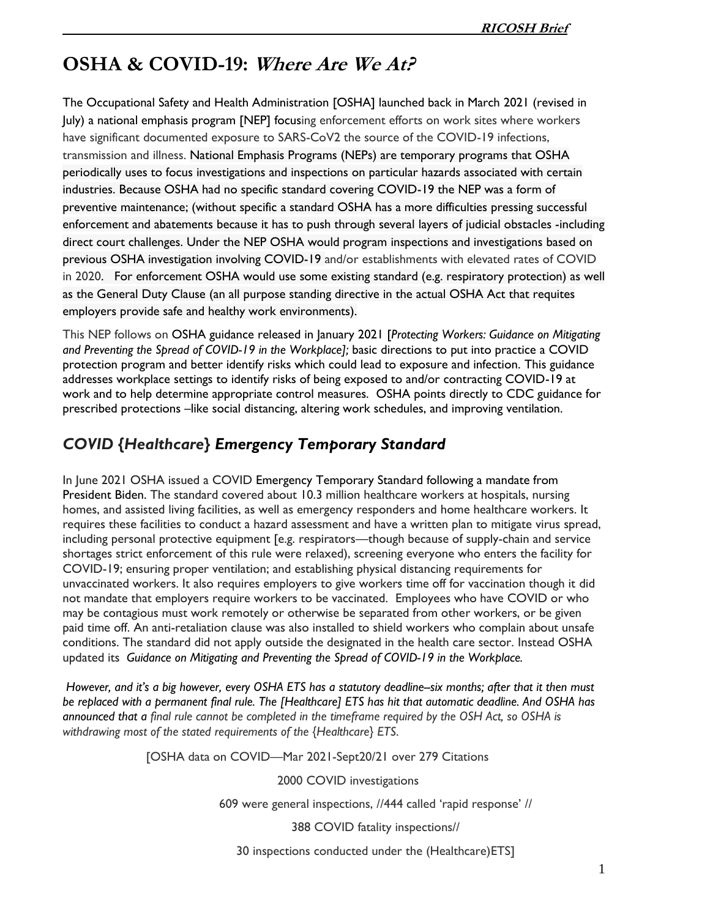## **OSHA & COVID-19: Where Are We At?**

The [Occupational Safety and Health Administration](https://www.osha.gov/) [OSHA] launched back in March 2021 (revised in July) a [national emphasis program](https://www.osha.gov/enforcement/directives/dir-2021-01cpl-03) [NEP] focusing enforcement efforts on work sites where workers have significant documented exposure to SARS-CoV2 the source of the COVID-19 infections, transmission and illness. National Emphasis Programs (NEPs) are temporary programs that OSHA periodically uses to focus investigations and inspections on [particular hazards associated with certain](https://lnks.gd/l/eyJhbGciOiJIUzI1NiJ9.eyJidWxsZXRpbl9saW5rX2lkIjoxMDIsInVyaSI6ImJwMjpjbGljayIsImJ1bGxldGluX2lkIjoiMjAyMTAzMTIuMzY5MDEzMzEiLCJ1cmwiOiJodHRwczovL3d3dy5vc2hhLmdvdi9lbmZvcmNlbWVudC9kaXJlY3RpdmVzL25lcCJ9.-vMOhUjU2K0m8v_uZuTj_UjWBbgIDsh0dflCS6k5iOQ/s/60463824/br/99849099717-l)  [industries.](https://lnks.gd/l/eyJhbGciOiJIUzI1NiJ9.eyJidWxsZXRpbl9saW5rX2lkIjoxMDIsInVyaSI6ImJwMjpjbGljayIsImJ1bGxldGluX2lkIjoiMjAyMTAzMTIuMzY5MDEzMzEiLCJ1cmwiOiJodHRwczovL3d3dy5vc2hhLmdvdi9lbmZvcmNlbWVudC9kaXJlY3RpdmVzL25lcCJ9.-vMOhUjU2K0m8v_uZuTj_UjWBbgIDsh0dflCS6k5iOQ/s/60463824/br/99849099717-l) Because OSHA had no specific standard covering COVID-19 the NEP was a form of preventive maintenance; (without specific a standard OSHA has a more difficulties pressing successful enforcement and abatements because it has to push through several layers of judicial obstacles -including direct court challenges. Under the NEP OSHA would program inspections and investigations based on previous OSHA investigation involving COVID-19 and/or establishments with elevated rates of COVID in 2020. For enforcement OSHA would use some existing standard (e.g. respiratory protection) as well as the General Duty Clause (an all purpose standing directive in the actual OSHA Act that requites employers provide safe and healthy work environments).

This NEP follows on OSHA guidance released in January 2021 [*[Protecting Workers: Guidance on Mitigating](https://www.osha.gov/coronavirus/safework)  [and Preventing the Spread of COVID-19 in the Workplace\]](https://www.osha.gov/coronavirus/safework);* basic directions to put into practice a COVID protection program and better identify risks which could lead to exposure and infection. This guidance addresses workplace settings to identify risks of being exposed to and/or contracting COVID-19 at work and to help determine appropriate control measures. OSHA points directly to CDC guidance for prescribed protections –like social distancing, altering work schedules, and improving ventilation.

## *COVID {Healthcare} [Emergency Temporary Standard](https://www.osha.gov/coronavirus/ets)*

In June 2021 OSHA issued a COVID [Emergency Temporary Standard](https://www.osha.gov/coronavirus/ets) following a mandate from President Biden. The standard covered about 10.3 million healthcare workers at hospitals, nursing homes, and assisted living facilities, as well as emergency responders and home healthcare workers. It requires these facilities to conduct a hazard assessment and have a written plan to mitigate virus spread, including personal protective equipment [e.g. respirators—though because of supply-chain and service shortages strict enforcement of this rule were relaxed), screening everyone who enters the facility for COVID-19; ensuring proper ventilation; and establishing physical distancing requirements for unvaccinated workers. It also requires employers to give workers time off for vaccination though it did not mandate that employers require workers to be vaccinated. Employees who have COVID or who may be contagious must work remotely or otherwise be separated from other workers, or be given paid time off. An anti-retaliation clause was also installed to shield workers who complain about unsafe conditions. The standard did not apply outside the designated in the health care sector. Instead OSHA updated its *[Guidance on Mitigating and Preventing the Spread of COVID-19 in the Workplace.](https://www.osha.gov/coronavirus/safework)*

*However, and it's a big however, every OSHA ETS has a statutory deadline--six months; after that it then must be replaced with a permanent final rule. The [Healthcare] ETS has hit that automatic deadline. And OSHA has announced that a final rule cannot be completed in the timeframe required by the OSH Act, so OSHA is withdrawing most of the stated requirements of the {Healthcare} ETS*.

[OSHA data on COVID—Mar 2021-Sept20/21 over 279 Citations

2000 COVID investigations

609 were general inspections, //444 called 'rapid response' //

388 COVID fatality inspections//

30 inspections conducted under the (Healthcare)ETS]